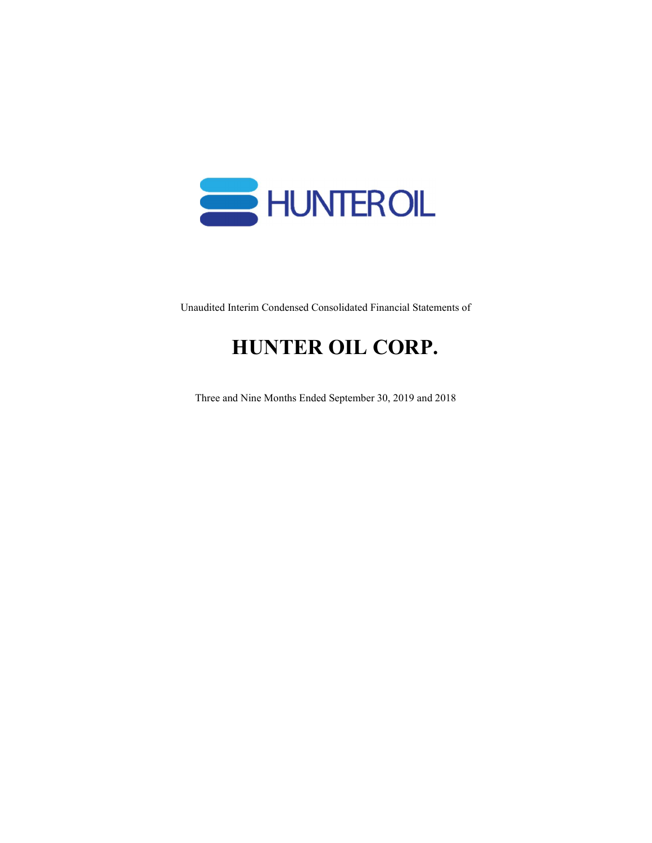

Unaudited Interim Condensed Consolidated Financial Statements of

# HUNTER OIL CORP.

Three and Nine Months Ended September 30, 2019 and 2018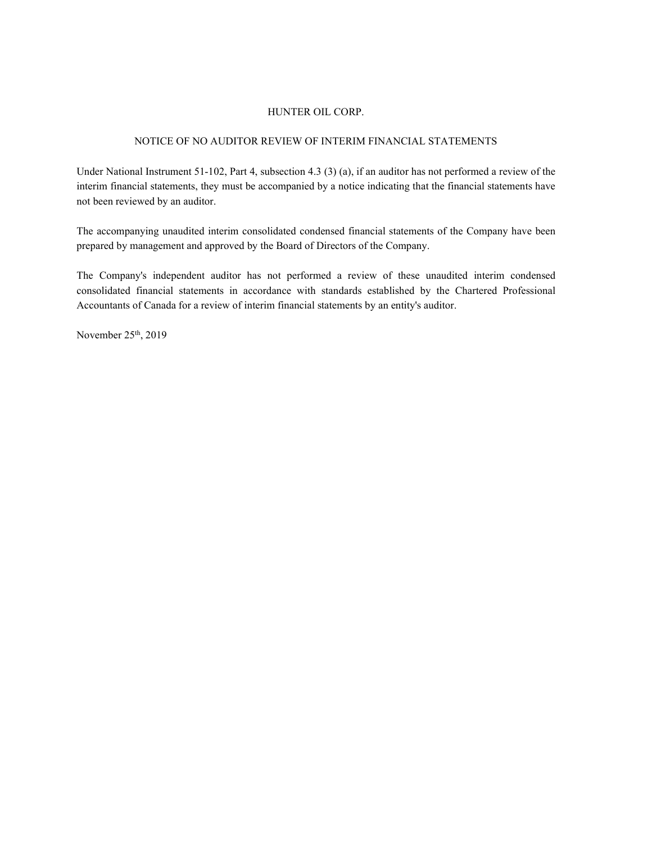#### NOTICE OF NO AUDITOR REVIEW OF INTERIM FINANCIAL STATEMENTS

Under National Instrument 51-102, Part 4, subsection 4.3 (3) (a), if an auditor has not performed a review of the interim financial statements, they must be accompanied by a notice indicating that the financial statements have not been reviewed by an auditor.

The accompanying unaudited interim consolidated condensed financial statements of the Company have been prepared by management and approved by the Board of Directors of the Company.

The Company's independent auditor has not performed a review of these unaudited interim condensed consolidated financial statements in accordance with standards established by the Chartered Professional Accountants of Canada for a review of interim financial statements by an entity's auditor.

November  $25<sup>th</sup>$ , 2019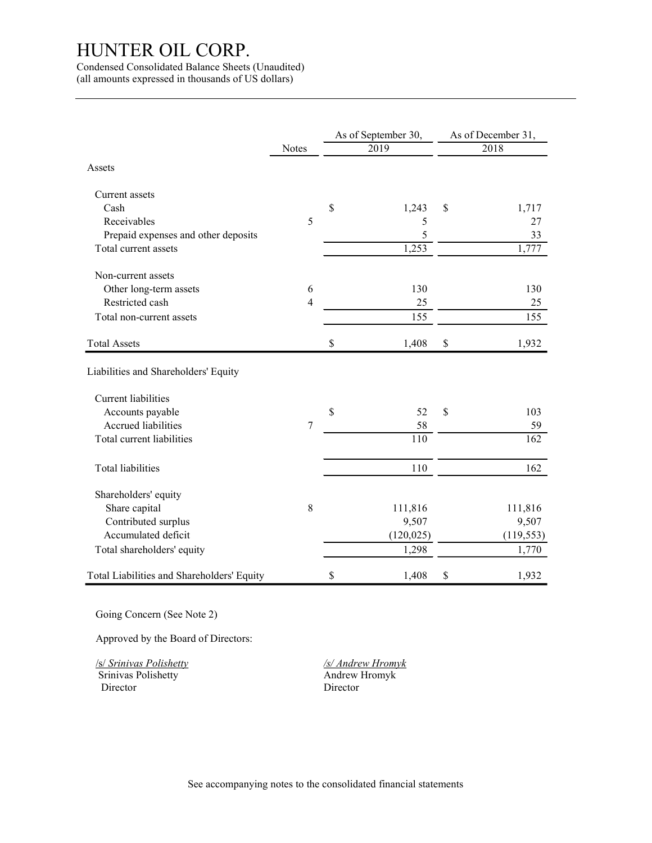|                                            |                | As of September 30, | As of December 31, |
|--------------------------------------------|----------------|---------------------|--------------------|
|                                            | Notes          | 2019                | 2018               |
| Assets                                     |                |                     |                    |
| Current assets                             |                |                     |                    |
| Cash                                       |                | \$<br>1,243         | \$<br>1,717        |
| Receivables                                | 5              | 5                   | 27                 |
| Prepaid expenses and other deposits        |                | 5                   | 33                 |
| Total current assets                       |                | 1,253               | 1,777              |
| Non-current assets                         |                |                     |                    |
| Other long-term assets                     | 6              | 130                 | 130                |
| Restricted cash                            | $\overline{4}$ | 25                  | $25\,$             |
| Total non-current assets                   |                | 155                 | 155                |
| <b>Total Assets</b>                        |                | \$<br>1,408         | \$<br>1,932        |
| Liabilities and Shareholders' Equity       |                |                     |                    |
| Current liabilities                        |                |                     |                    |
| Accounts payable                           |                | \$<br>52            | \$<br>103          |
| Accrued liabilities                        | 7              | 58                  | 59                 |
| Total current liabilities                  |                | 110                 | 162                |
| Total liabilities                          |                | 110                 | 162                |
| Shareholders' equity                       |                |                     |                    |
| Share capital                              | 8              | 111,816             | 111,816            |
| Contributed surplus                        |                | 9,507               | 9,507              |
| Accumulated deficit                        |                | (120, 025)          | (119, 553)         |
| Total shareholders' equity                 |                | 1,298               | 1,770              |
| Total Liabilities and Shareholders' Equity |                | \$<br>1,408         | \$<br>1,932        |

Approved by the Board of Directors:

Srinivas Polishetty Director Director

/s/ Srinivas Polishetty /s/ Andrew Hromyk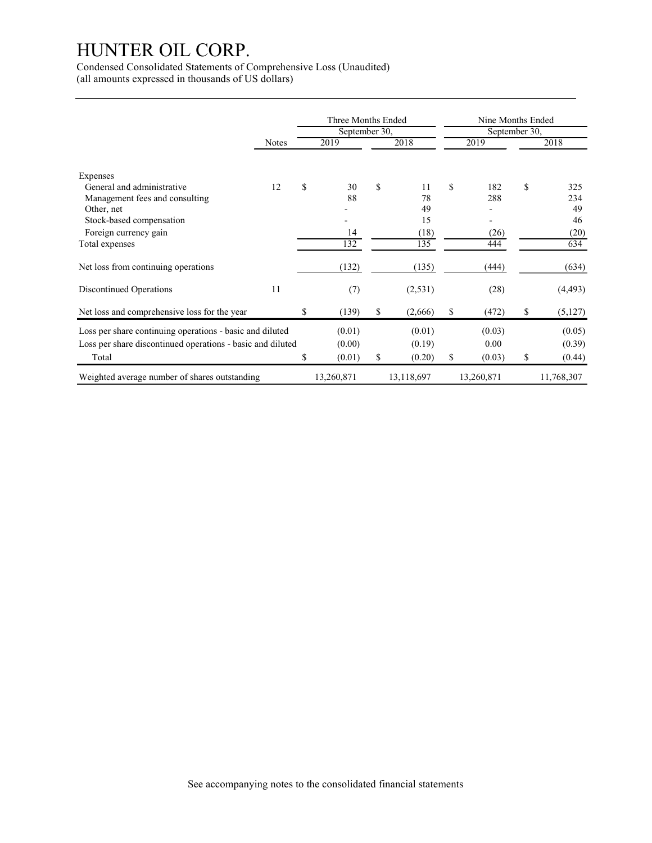| HUNTER OIL CORP.<br>Condensed Consolidated Statements of Comprehensive Loss (Unaudited)<br>(all amounts expressed in thousands of US dollars)                 |       |                       |                            |    |                                         |    |                                                       |              |                                       |  |  |
|---------------------------------------------------------------------------------------------------------------------------------------------------------------|-------|-----------------------|----------------------------|----|-----------------------------------------|----|-------------------------------------------------------|--------------|---------------------------------------|--|--|
|                                                                                                                                                               |       | Three Months Ended    |                            |    |                                         |    | Nine Months Ended                                     |              |                                       |  |  |
|                                                                                                                                                               |       | September 30,<br>2019 |                            |    | September 30,<br>2019                   |    |                                                       | 2018         |                                       |  |  |
|                                                                                                                                                               | Notes |                       |                            |    | 2018                                    |    |                                                       |              |                                       |  |  |
| Expenses<br>General and administrative<br>Management fees and consulting<br>Other, net<br>Stock-based compensation<br>Foreign currency gain<br>Total expenses | 12    | $\mathbb S$           | 30<br>88<br>14<br>132      | \$ | 11<br>$78\,$<br>49<br>15<br>(18)<br>135 | \$ | 182<br>288<br>$\overline{\phantom{a}}$<br>(26)<br>444 | $\mathbb{S}$ | 325<br>234<br>49<br>46<br>(20)<br>634 |  |  |
| Net loss from continuing operations                                                                                                                           |       |                       | (132)                      |    | (135)                                   |    | (444)                                                 |              | (634)                                 |  |  |
| <b>Discontinued Operations</b>                                                                                                                                | 11    |                       | (7)                        |    | (2, 531)                                |    | (28)                                                  |              | (4, 493)                              |  |  |
| Net loss and comprehensive loss for the year                                                                                                                  |       | $\mathbb{S}$          | (139)                      | \$ | (2,666)                                 | \$ | (472)                                                 | $\mathbb S$  | (5,127)                               |  |  |
| Loss per share continuing operations - basic and diluted<br>Loss per share discontinued operations - basic and diluted<br>Total                               |       | \$                    | (0.01)<br>(0.00)<br>(0.01) | \$ | (0.01)<br>(0.19)<br>(0.20)              | \$ | (0.03)<br>$0.00\,$<br>(0.03)                          | \$           | (0.05)<br>(0.39)<br>(0.44)            |  |  |
| Weighted average number of shares outstanding                                                                                                                 |       |                       | 13,260,871                 |    | 13,118,697                              |    | 13,260,871                                            |              | 11,768,307                            |  |  |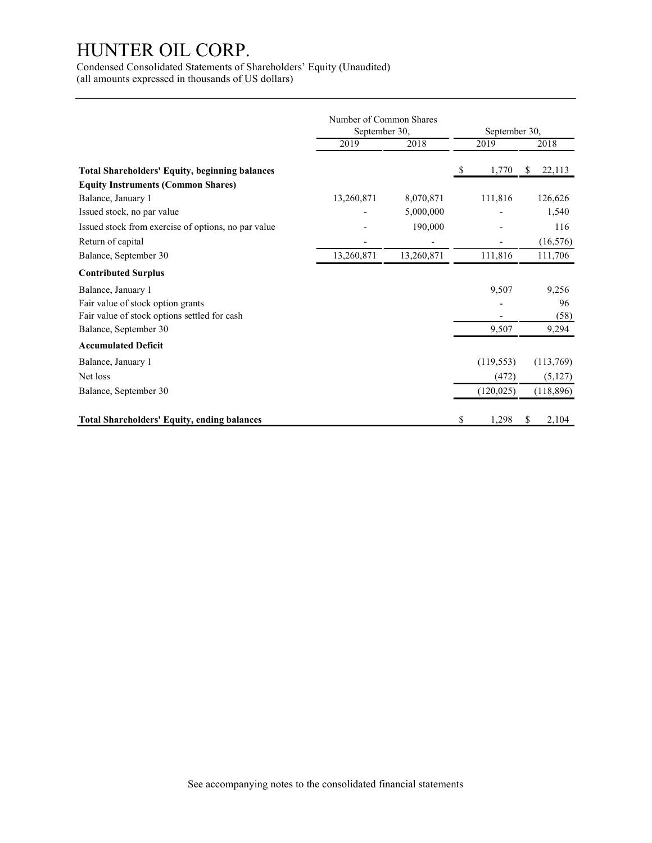|                                                                                                    | Number of Common Shares  |                |                          |                        |  |  |
|----------------------------------------------------------------------------------------------------|--------------------------|----------------|--------------------------|------------------------|--|--|
|                                                                                                    | September 30,            |                | September 30,            |                        |  |  |
|                                                                                                    | 2019                     | 2018           | 2019                     | 2018                   |  |  |
| <b>Total Shareholders' Equity, beginning balances</b><br><b>Equity Instruments (Common Shares)</b> |                          |                | 1,770<br>-S              | \$22,113               |  |  |
| Balance, January 1                                                                                 | 13,260,871               | 8,070,871      | 111,816                  | 126,626                |  |  |
| Issued stock, no par value                                                                         |                          | 5,000,000      |                          | 1,540                  |  |  |
| Issued stock from exercise of options, no par value                                                |                          | 190,000        |                          | 116                    |  |  |
| Return of capital                                                                                  | $\overline{\phantom{a}}$ | $\overline{a}$ | $\overline{\phantom{a}}$ | (16, 576)              |  |  |
| Balance, September 30                                                                              | 13,260,871               | 13,260,871     | 111,816                  | 111,706                |  |  |
| <b>Contributed Surplus</b>                                                                         |                          |                |                          |                        |  |  |
| Balance, January 1                                                                                 |                          |                | 9,507                    | 9,256                  |  |  |
| Fair value of stock option grants                                                                  |                          |                |                          | 96                     |  |  |
| Fair value of stock options settled for cash                                                       |                          |                | $\sim$<br>9,507          | (58)                   |  |  |
| Balance, September 30                                                                              |                          |                |                          | 9,294                  |  |  |
| <b>Accumulated Deficit</b>                                                                         |                          |                |                          |                        |  |  |
| Balance, January 1                                                                                 |                          |                | (119, 553)               | (113,769)              |  |  |
| Net loss                                                                                           |                          |                | (472)                    | (5,127)                |  |  |
| Balance, September 30                                                                              |                          |                | (120, 025)               | (118, 896)             |  |  |
|                                                                                                    |                          |                |                          |                        |  |  |
| <b>Total Shareholders' Equity, ending balances</b>                                                 |                          |                | \$<br>1,298              | <sup>\$</sup><br>2,104 |  |  |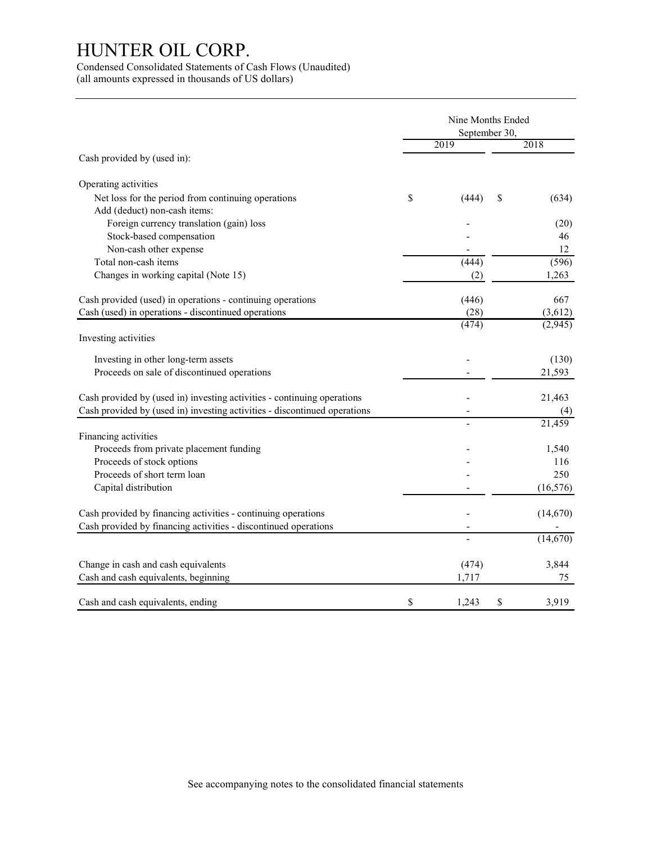Condensed Consolidated Statements of Cash Flows (Unaudited) (all amounts expressed in thousands of US dollars)

|                                                                           | Nine Months Ended<br>September 30, |                     |
|---------------------------------------------------------------------------|------------------------------------|---------------------|
|                                                                           | 2019                               | 2018                |
| Cash provided by (used in):                                               |                                    |                     |
| Operating activities                                                      |                                    |                     |
| Net loss for the period from continuing operations                        | \$<br>(444)                        | \$<br>(634)         |
| Add (deduct) non-cash items:                                              |                                    |                     |
| Foreign currency translation (gain) loss                                  |                                    | (20)                |
| Stock-based compensation                                                  |                                    | 46                  |
| Non-cash other expense                                                    |                                    | 12                  |
| Total non-cash items                                                      | (444)                              | (596)               |
| Changes in working capital (Note 15)                                      | (2)                                | 1,263               |
| Cash provided (used) in operations - continuing operations                | (446)                              | 667                 |
| Cash (used) in operations - discontinued operations                       | (28)                               | (3,612)             |
|                                                                           | (474)                              | (2,945)             |
| Investing activities                                                      |                                    |                     |
| Investing in other long-term assets                                       |                                    | (130)               |
| Proceeds on sale of discontinued operations                               |                                    | 21,593              |
| Cash provided by (used in) investing activities - continuing operations   |                                    | 21,463              |
| Cash provided by (used in) investing activities - discontinued operations |                                    | (4)                 |
|                                                                           | $\overline{a}$                     | $\overline{21,459}$ |
| Financing activities                                                      |                                    |                     |
| Proceeds from private placement funding                                   |                                    | 1,540               |
| Proceeds of stock options                                                 |                                    | 116                 |
| Proceeds of short term loan                                               |                                    | 250                 |
| Capital distribution                                                      |                                    | (16, 576)           |
| Cash provided by financing activities - continuing operations             |                                    | (14,670)            |
| Cash provided by financing activities - discontinued operations           | $\overline{\phantom{a}}$           |                     |
|                                                                           | $\overline{\phantom{0}}$           | (14,670)            |
| Change in cash and cash equivalents                                       | (474)                              | 3,844               |
| Cash and cash equivalents, beginning                                      | 1,717                              | 75                  |
|                                                                           |                                    |                     |
| Cash and cash equivalents, ending                                         | \$<br>1,243                        | \$<br>3,919         |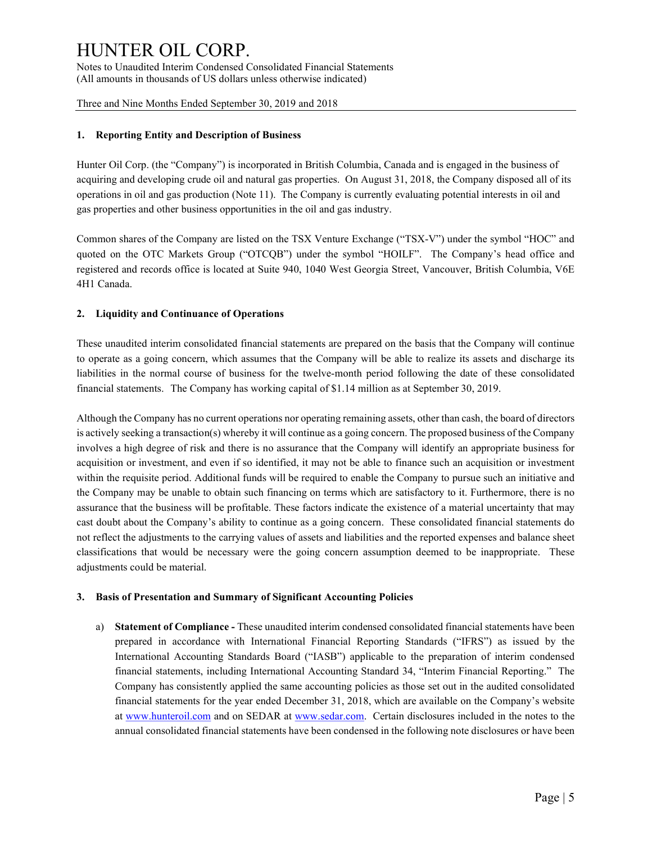Notes to Unaudited Interim Condensed Consolidated Financial Statements (All amounts in thousands of US dollars unless otherwise indicated)

Three and Nine Months Ended September 30, 2019 and 2018

#### 1. Reporting Entity and Description of Business

Hunter Oil Corp. (the "Company") is incorporated in British Columbia, Canada and is engaged in the business of acquiring and developing crude oil and natural gas properties. On August 31, 2018, the Company disposed all of its operations in oil and gas production (Note 11). The Company is currently evaluating potential interests in oil and gas properties and other business opportunities in the oil and gas industry.

Common shares of the Company are listed on the TSX Venture Exchange ("TSX-V") under the symbol "HOC" and quoted on the OTC Markets Group ("OTCQB") under the symbol "HOILF". The Company's head office and registered and records office is located at Suite 940, 1040 West Georgia Street, Vancouver, British Columbia, V6E 4H1 Canada.

#### 2. Liquidity and Continuance of Operations

These unaudited interim consolidated financial statements are prepared on the basis that the Company will continue to operate as a going concern, which assumes that the Company will be able to realize its assets and discharge its liabilities in the normal course of business for the twelve-month period following the date of these consolidated financial statements. The Company has working capital of \$1.14 million as at September 30, 2019.

Although the Company has no current operations nor operating remaining assets, other than cash, the board of directors is actively seeking a transaction(s) whereby it will continue as a going concern. The proposed business of the Company involves a high degree of risk and there is no assurance that the Company will identify an appropriate business for acquisition or investment, and even if so identified, it may not be able to finance such an acquisition or investment within the requisite period. Additional funds will be required to enable the Company to pursue such an initiative and the Company may be unable to obtain such financing on terms which are satisfactory to it. Furthermore, there is no assurance that the business will be profitable. These factors indicate the existence of a material uncertainty that may cast doubt about the Company's ability to continue as a going concern. These consolidated financial statements do not reflect the adjustments to the carrying values of assets and liabilities and the reported expenses and balance sheet classifications that would be necessary were the going concern assumption deemed to be inappropriate. These adjustments could be material.

#### 3. Basis of Presentation and Summary of Significant Accounting Policies

a) Statement of Compliance - These unaudited interim condensed consolidated financial statements have been prepared in accordance with International Financial Reporting Standards ("IFRS") as issued by the International Accounting Standards Board ("IASB") applicable to the preparation of interim condensed financial statements, including International Accounting Standard 34, "Interim Financial Reporting." The Company has consistently applied the same accounting policies as those set out in the audited consolidated financial statements for the year ended December 31, 2018, which are available on the Company's website at www.hunteroil.com and on SEDAR at www.sedar.com. Certain disclosures included in the notes to the annual consolidated financial statements have been condensed in the following note disclosures or have been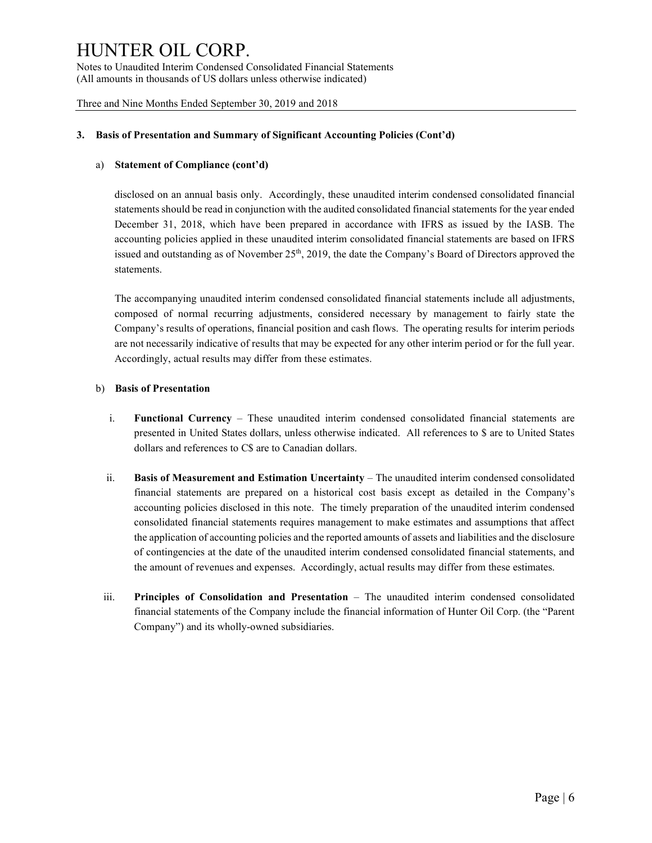Notes to Unaudited Interim Condensed Consolidated Financial Statements (All amounts in thousands of US dollars unless otherwise indicated)

Three and Nine Months Ended September 30, 2019 and 2018

#### 3. Basis of Presentation and Summary of Significant Accounting Policies (Cont'd)

#### a) Statement of Compliance (cont'd)

disclosed on an annual basis only. Accordingly, these unaudited interim condensed consolidated financial statements should be read in conjunction with the audited consolidated financial statements for the year ended December 31, 2018, which have been prepared in accordance with IFRS as issued by the IASB. The accounting policies applied in these unaudited interim consolidated financial statements are based on IFRS issued and outstanding as of November  $25<sup>th</sup>$ , 2019, the date the Company's Board of Directors approved the statements.

 The accompanying unaudited interim condensed consolidated financial statements include all adjustments, composed of normal recurring adjustments, considered necessary by management to fairly state the Company's results of operations, financial position and cash flows. The operating results for interim periods are not necessarily indicative of results that may be expected for any other interim period or for the full year. Accordingly, actual results may differ from these estimates.

#### b) Basis of Presentation

- i. Functional Currency These unaudited interim condensed consolidated financial statements are presented in United States dollars, unless otherwise indicated. All references to \$ are to United States dollars and references to C\$ are to Canadian dollars.
- ii. Basis of Measurement and Estimation Uncertainty The unaudited interim condensed consolidated financial statements are prepared on a historical cost basis except as detailed in the Company's accounting policies disclosed in this note. The timely preparation of the unaudited interim condensed consolidated financial statements requires management to make estimates and assumptions that affect the application of accounting policies and the reported amounts of assets and liabilities and the disclosure of contingencies at the date of the unaudited interim condensed consolidated financial statements, and the amount of revenues and expenses. Accordingly, actual results may differ from these estimates.
- iii. Principles of Consolidation and Presentation The unaudited interim condensed consolidated financial statements of the Company include the financial information of Hunter Oil Corp. (the "Parent Company") and its wholly-owned subsidiaries.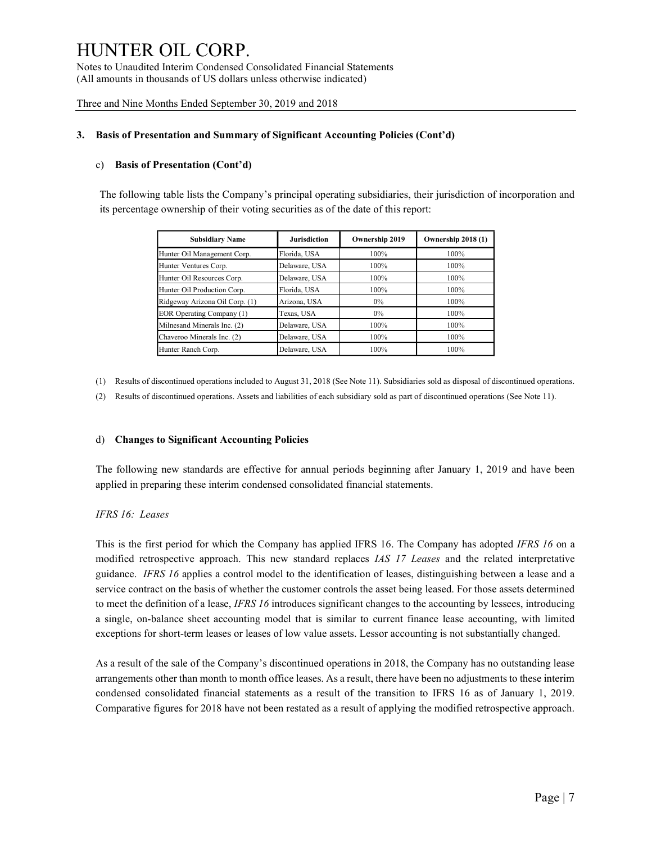Notes to Unaudited Interim Condensed Consolidated Financial Statements (All amounts in thousands of US dollars unless otherwise indicated)

Three and Nine Months Ended September 30, 2019 and 2018

#### 3. Basis of Presentation and Summary of Significant Accounting Policies (Cont'd)

#### c) Basis of Presentation (Cont'd)

The following table lists the Company's principal operating subsidiaries, their jurisdiction of incorporation and its percentage ownership of their voting securities as of the date of this report:

| OIL CORP.                                                                                                  |                     |                |                    |
|------------------------------------------------------------------------------------------------------------|---------------------|----------------|--------------------|
|                                                                                                            |                     |                |                    |
| d Interim Condensed Consolidated Financial Statements<br>ousands of US dollars unless otherwise indicated) |                     |                |                    |
| onths Ended September 30, 2019 and 2018                                                                    |                     |                |                    |
|                                                                                                            |                     |                |                    |
| entation and Summary of Significant Accounting Policies (Cont'd)                                           |                     |                |                    |
| <b>Presentation (Cont'd)</b>                                                                               |                     |                |                    |
| g table lists the Company's principal operating subsidiaries, their jurisdiction of incorporation and      |                     |                |                    |
| e ownership of their voting securities as of the date of this report:                                      |                     |                |                    |
|                                                                                                            |                     |                |                    |
| <b>Subsidiary Name</b>                                                                                     | <b>Jurisdiction</b> | Ownership 2019 | Ownership 2018 (1) |
| Hunter Oil Management Corp.                                                                                | Florida, USA        | 100%           | 100%               |
| Hunter Ventures Corp.                                                                                      | Delaware, USA       | 100%           | 100%               |
| Hunter Oil Resources Corp.                                                                                 | Delaware, USA       | 100%           | 100%               |
| Hunter Oil Production Corp.                                                                                | Florida, USA        | 100%           | 100%               |
| Ridgeway Arizona Oil Corp. (1)                                                                             | Arizona, USA        | $0\%$          | 100%               |
| EOR Operating Company (1)                                                                                  | Texas, USA          | $0\%$          | 100%               |
| Milnesand Minerals Inc. (2)                                                                                | Delaware, USA       | 100%           | 100%               |
| Chaveroo Minerals Inc. (2)                                                                                 | Delaware, USA       | 100%           | 100%               |

(1) Results of discontinued operations included to August 31, 2018 (See Note 11). Subsidiaries sold as disposal of discontinued operations.

(2) Results of discontinued operations. Assets and liabilities of each subsidiary sold as part of discontinued operations (See Note 11).

#### d) Changes to Significant Accounting Policies

 The following new standards are effective for annual periods beginning after January 1, 2019 and have been applied in preparing these interim condensed consolidated financial statements.

#### IFRS 16: Leases

This is the first period for which the Company has applied IFRS 16. The Company has adopted IFRS 16 on a modified retrospective approach. This new standard replaces *IAS 17 Leases* and the related interpretative guidance. IFRS 16 applies a control model to the identification of leases, distinguishing between a lease and a service contract on the basis of whether the customer controls the asset being leased. For those assets determined to meet the definition of a lease, IFRS 16 introduces significant changes to the accounting by lessees, introducing a single, on-balance sheet accounting model that is similar to current finance lease accounting, with limited exceptions for short-term leases or leases of low value assets. Lessor accounting is not substantially changed.

 As a result of the sale of the Company's discontinued operations in 2018, the Company has no outstanding lease arrangements other than month to month office leases. As a result, there have been no adjustments to these interim condensed consolidated financial statements as a result of the transition to IFRS 16 as of January 1, 2019. Comparative figures for 2018 have not been restated as a result of applying the modified retrospective approach.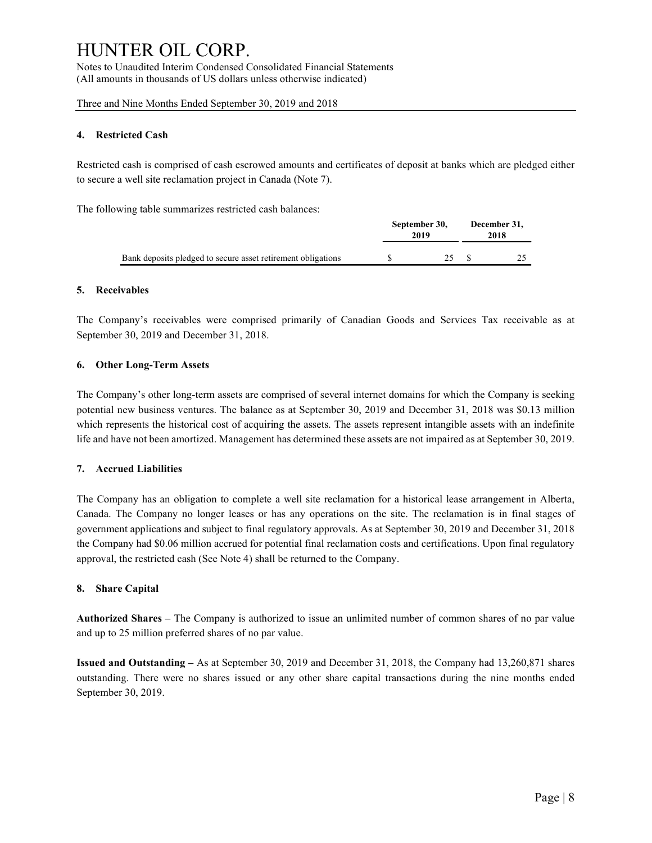Notes to Unaudited Interim Condensed Consolidated Financial Statements (All amounts in thousands of US dollars unless otherwise indicated)

Three and Nine Months Ended September 30, 2019 and 2018

#### 4. Restricted Cash

Restricted cash is comprised of cash escrowed amounts and certificates of deposit at banks which are pledged either to secure a well site reclamation project in Canada (Note 7).

The following table summarizes restricted cash balances:

|                                                              | September 30,<br>2019 | December 31,<br>2018 |
|--------------------------------------------------------------|-----------------------|----------------------|
| Bank deposits pledged to secure asset retirement obligations | ر ب                   | ت                    |

#### 5. Receivables

The Company's receivables were comprised primarily of Canadian Goods and Services Tax receivable as at September 30, 2019 and December 31, 2018.

#### 6. Other Long-Term Assets

The Company's other long-term assets are comprised of several internet domains for which the Company is seeking potential new business ventures. The balance as at September 30, 2019 and December 31, 2018 was \$0.13 million which represents the historical cost of acquiring the assets. The assets represent intangible assets with an indefinite life and have not been amortized. Management has determined these assets are not impaired as at September 30, 2019.

#### 7. Accrued Liabilities

The Company has an obligation to complete a well site reclamation for a historical lease arrangement in Alberta, Canada. The Company no longer leases or has any operations on the site. The reclamation is in final stages of government applications and subject to final regulatory approvals. As at September 30, 2019 and December 31, 2018 the Company had \$0.06 million accrued for potential final reclamation costs and certifications. Upon final regulatory approval, the restricted cash (See Note 4) shall be returned to the Company.

#### 8. Share Capital

Authorized Shares – The Company is authorized to issue an unlimited number of common shares of no par value and up to 25 million preferred shares of no par value.

Issued and Outstanding – As at September 30, 2019 and December 31, 2018, the Company had 13,260,871 shares outstanding. There were no shares issued or any other share capital transactions during the nine months ended September 30, 2019.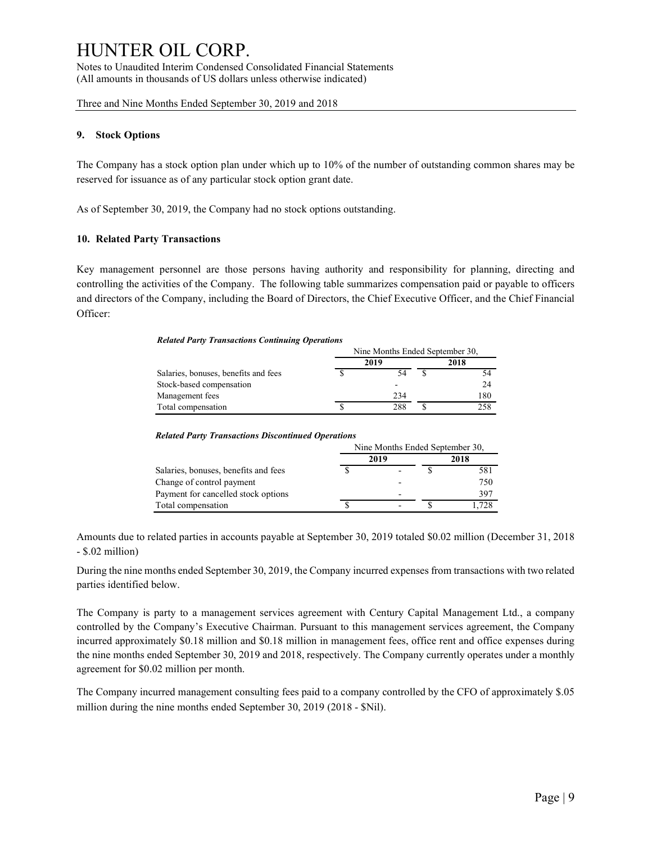Notes to Unaudited Interim Condensed Consolidated Financial Statements (All amounts in thousands of US dollars unless otherwise indicated)

Three and Nine Months Ended September 30, 2019 and 2018

#### 9. Stock Options

The Company has a stock option plan under which up to 10% of the number of outstanding common shares may be reserved for issuance as of any particular stock option grant date.

As of September 30, 2019, the Company had no stock options outstanding.

#### 10. Related Party Transactions

Key management personnel are those persons having authority and responsibility for planning, directing and controlling the activities of the Company. The following table summarizes compensation paid or payable to officers and directors of the Company, including the Board of Directors, the Chief Executive Officer, and the Chief Financial Officer:

#### Related Party Transactions Continuing Operations

|                                      |      | Nine Months Ended September 30, |      |  |  |
|--------------------------------------|------|---------------------------------|------|--|--|
|                                      | 2019 |                                 | 2018 |  |  |
| Salaries, bonuses, benefits and fees | 54   |                                 |      |  |  |
| Stock-based compensation             | -    |                                 | 24   |  |  |
| Management fees                      | 234  |                                 | 180  |  |  |
| Total compensation                   | 288  |                                 | 258  |  |  |

#### Related Party Transactions Discontinued Operations

|                                      |      | Nine Months Ended September 30, |      |  |  |
|--------------------------------------|------|---------------------------------|------|--|--|
|                                      | 2019 | 2018                            |      |  |  |
| Salaries, bonuses, benefits and fees |      |                                 | 581  |  |  |
| Change of control payment            |      |                                 | 750  |  |  |
| Payment for cancelled stock options  |      |                                 | 397  |  |  |
| Total compensation                   |      |                                 | .728 |  |  |

Amounts due to related parties in accounts payable at September 30, 2019 totaled \$0.02 million (December 31, 2018 - \$.02 million)

During the nine months ended September 30, 2019, the Company incurred expenses from transactions with two related parties identified below.

The Company is party to a management services agreement with Century Capital Management Ltd., a company controlled by the Company's Executive Chairman. Pursuant to this management services agreement, the Company incurred approximately \$0.18 million and \$0.18 million in management fees, office rent and office expenses during the nine months ended September 30, 2019 and 2018, respectively. The Company currently operates under a monthly agreement for \$0.02 million per month.

The Company incurred management consulting fees paid to a company controlled by the CFO of approximately \$.05 million during the nine months ended September 30, 2019 (2018 - \$Nil).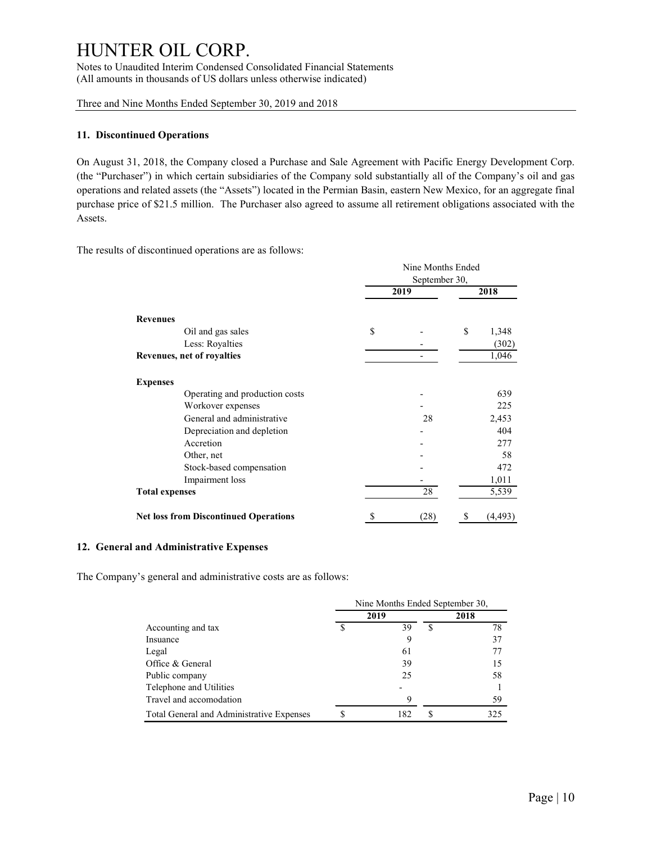Notes to Unaudited Interim Condensed Consolidated Financial Statements (All amounts in thousands of US dollars unless otherwise indicated)

Three and Nine Months Ended September 30, 2019 and 2018

#### 11. Discontinued Operations

On August 31, 2018, the Company closed a Purchase and Sale Agreement with Pacific Energy Development Corp. (the "Purchaser") in which certain subsidiaries of the Company sold substantially all of the Company's oil and gas operations and related assets (the "Assets") located in the Permian Basin, eastern New Mexico, for an aggregate final purchase price of \$21.5 million. The Purchaser also agreed to assume all retirement obligations associated with the Assets.

The results of discontinued operations are as follows:

|                                              |      | Nine Months Ended |             |
|----------------------------------------------|------|-------------------|-------------|
|                                              |      | September 30,     |             |
|                                              | 2019 |                   | 2018        |
|                                              |      |                   |             |
| <b>Revenues</b>                              |      |                   |             |
| Oil and gas sales                            | \$   |                   | \$<br>1,348 |
| Less: Royalties                              |      |                   | (302)       |
| Revenues, net of royalties                   |      |                   | 1,046       |
| <b>Expenses</b>                              |      |                   |             |
| Operating and production costs               |      |                   | 639         |
| Workover expenses                            |      |                   | 225         |
| General and administrative                   |      | 28                | 2,453       |
| Depreciation and depletion                   |      |                   | 404         |
| Accretion                                    |      |                   | 277         |
| Other, net                                   |      |                   | 58          |
| Stock-based compensation                     |      |                   | 472         |
| Impairment loss                              |      |                   | 1,011       |
| <b>Total expenses</b>                        |      | 28                | 5,539       |
| <b>Net loss from Discontinued Operations</b> |      | (28)              | (4, 493)    |

#### 12. General and Administrative Expenses

The Company's general and administrative costs are as follows:

|                                                    |                                 | $\overline{\phantom{0}}$ | 277            |
|----------------------------------------------------|---------------------------------|--------------------------|----------------|
| Other, net                                         |                                 |                          | 58             |
| Stock-based compensation                           |                                 |                          | 472            |
| Impairment loss                                    |                                 |                          | 1,011          |
| 'otal expenses                                     |                                 | 28                       | 5,539          |
| let loss from Discontinued Operations              | \$                              | (28)                     | (4, 493)<br>\$ |
| nd Administrative Expenses                         |                                 |                          |                |
| s general and administrative costs are as follows: |                                 |                          |                |
|                                                    | Nine Months Ended September 30, |                          |                |
|                                                    |                                 |                          |                |
|                                                    | 2019                            |                          | 2018           |
| Accounting and tax                                 | \$<br>39                        | $\overline{\mathcal{S}}$ | 78             |
| Insuance                                           | 9                               |                          | 37             |
| Legal                                              | 61                              |                          | 77             |
| Office & General                                   | 39                              |                          | 15             |
| Public company                                     | 25                              |                          | 58             |
| Telephone and Utilities<br>Travel and accomodation | 9                               |                          | 59             |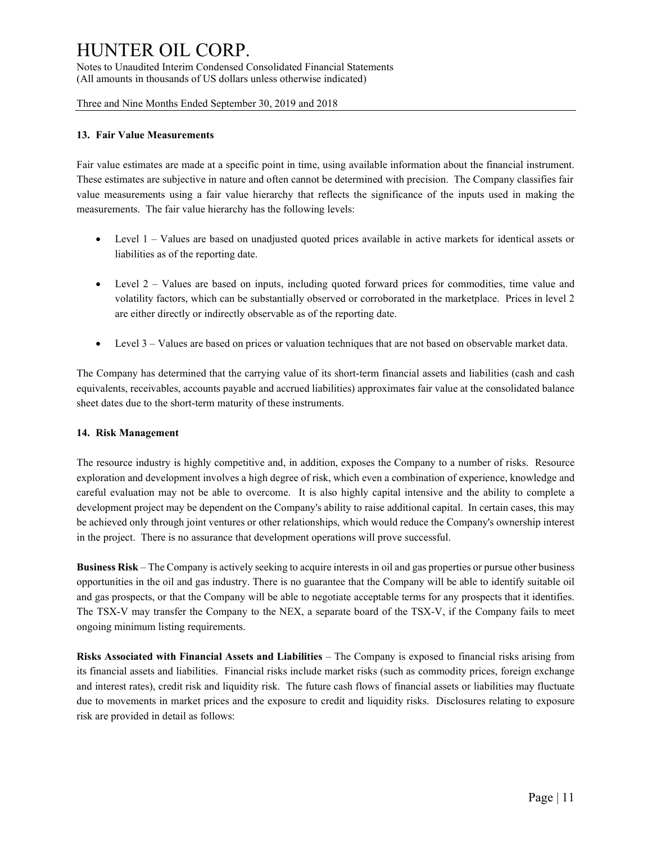Notes to Unaudited Interim Condensed Consolidated Financial Statements (All amounts in thousands of US dollars unless otherwise indicated)

Three and Nine Months Ended September 30, 2019 and 2018

#### 13. Fair Value Measurements

Fair value estimates are made at a specific point in time, using available information about the financial instrument. These estimates are subjective in nature and often cannot be determined with precision. The Company classifies fair value measurements using a fair value hierarchy that reflects the significance of the inputs used in making the measurements. The fair value hierarchy has the following levels:

- Level 1 Values are based on unadjusted quoted prices available in active markets for identical assets or liabilities as of the reporting date.
- Level 2 Values are based on inputs, including quoted forward prices for commodities, time value and volatility factors, which can be substantially observed or corroborated in the marketplace. Prices in level 2 are either directly or indirectly observable as of the reporting date.
- Level 3 Values are based on prices or valuation techniques that are not based on observable market data.

The Company has determined that the carrying value of its short-term financial assets and liabilities (cash and cash equivalents, receivables, accounts payable and accrued liabilities) approximates fair value at the consolidated balance sheet dates due to the short-term maturity of these instruments.

#### 14. Risk Management

The resource industry is highly competitive and, in addition, exposes the Company to a number of risks. Resource exploration and development involves a high degree of risk, which even a combination of experience, knowledge and careful evaluation may not be able to overcome. It is also highly capital intensive and the ability to complete a development project may be dependent on the Company's ability to raise additional capital. In certain cases, this may be achieved only through joint ventures or other relationships, which would reduce the Company's ownership interest in the project. There is no assurance that development operations will prove successful.

Business Risk – The Company is actively seeking to acquire interests in oil and gas properties or pursue other business opportunities in the oil and gas industry. There is no guarantee that the Company will be able to identify suitable oil and gas prospects, or that the Company will be able to negotiate acceptable terms for any prospects that it identifies. The TSX-V may transfer the Company to the NEX, a separate board of the TSX-V, if the Company fails to meet ongoing minimum listing requirements.

Risks Associated with Financial Assets and Liabilities – The Company is exposed to financial risks arising from its financial assets and liabilities. Financial risks include market risks (such as commodity prices, foreign exchange and interest rates), credit risk and liquidity risk. The future cash flows of financial assets or liabilities may fluctuate due to movements in market prices and the exposure to credit and liquidity risks. Disclosures relating to exposure risk are provided in detail as follows: